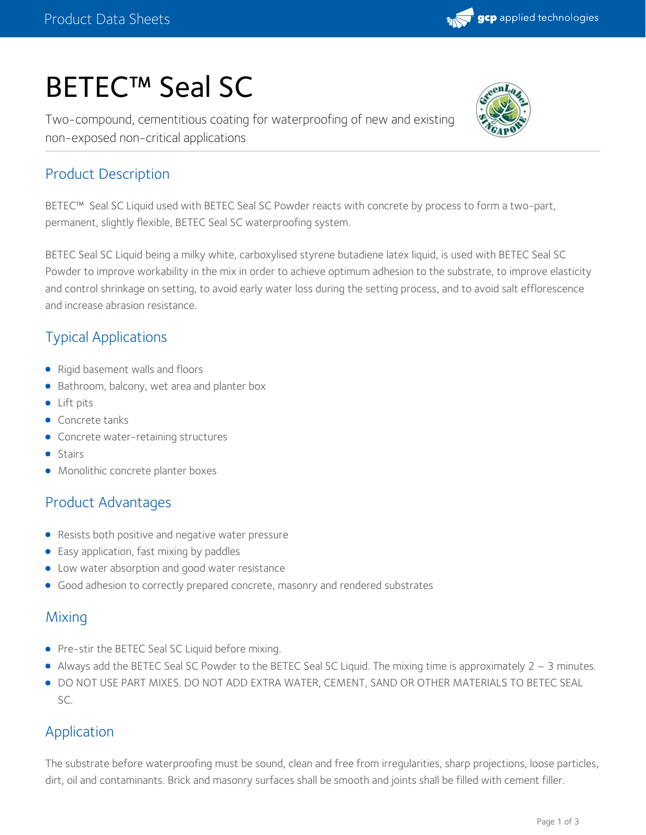

# BETEC™ Seal SC

Two-compound, cementitious coating for waterproofing of new and existing non-exposed non-critical applications



# Product Description

BETEC™ Seal SC Liquid used with BETEC Seal SC Powder reacts with concrete by process to form a two-part, permanent, slightly flexible, BETEC Seal SC waterproofing system.

BETEC Seal SC Liquid being a milky white, carboxylised styrene butadiene latex liquid, is used with BETEC Seal SC Powder to improve workability in the mix in order to achieve optimum adhesion to the substrate, to improve elasticity and control shrinkage on setting, to avoid early water loss during the setting process, and to avoid salt efflorescence and increase abrasion resistance.

# Typical Applications

- Rigid basement walls and floors
- Bathroom, balcony, wet area and planter box
- Lift pits
- Concrete tanks
- **•** Concrete water-retaining structures
- **•** Stairs
- **•** Monolithic concrete planter boxes

## Product Advantages

- Resists both positive and negative water pressure
- Easy application, fast mixing by paddles
- Low water absorption and good water resistance
- Good adhesion to correctly prepared concrete, masonry and rendered substrates

#### **Mixing**

- Pre-stir the BETEC Seal SC Liquid before mixing.
- Always add the BETEC Seal SC Powder to the BETEC Seal SC Liquid. The mixing time is approximately 2 3 minutes.
- DO NOT USE PART MIXES. DO NOT ADD EXTRA WATER, CEMENT, SAND OR OTHER MATERIALS TO BETEC SEAL SC.

## Application

The substrate before waterproofing must be sound, clean and free from irregularities, sharp projections, loose particles, dirt, oil and contaminants. Brick and masonry surfaces shall be smooth and joints shall be filled with cement filler.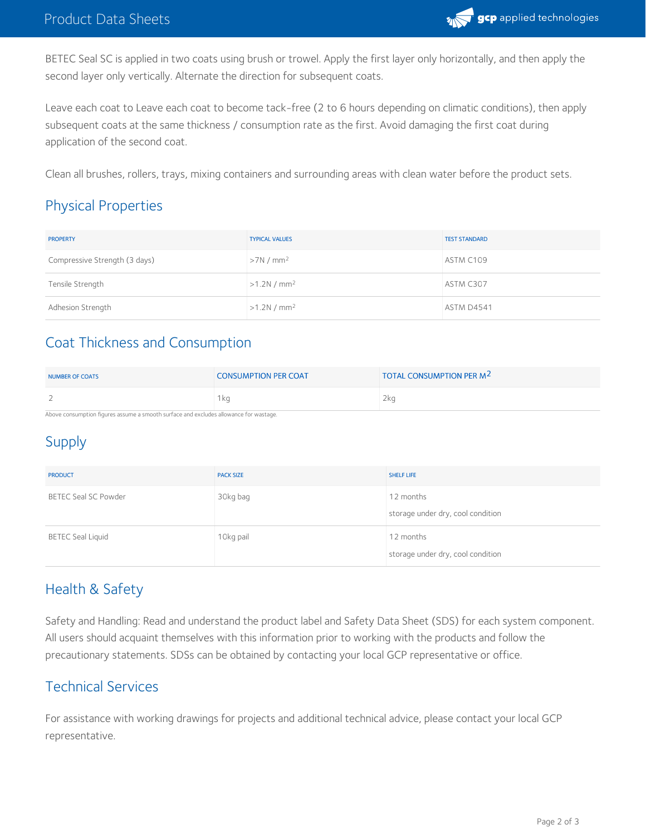

BETEC Seal SC is applied in two coats using brush or trowel. Apply the first layer only horizontally, and then apply the second layer only vertically. Alternate the direction for subsequent coats.

Leave each coat to Leave each coat to become tack-free (2 to 6 hours depending on climatic conditions), then apply subsequent coats at the same thickness / consumption rate as the first. Avoid damaging the first coat during application of the second coat.

Clean all brushes, rollers, trays, mixing containers and surrounding areas with clean water before the product sets.

# Physical Properties

| <b>PROPERTY</b>               | <b>TYPICAL VALUES</b> | <b>TEST STANDARD</b> |
|-------------------------------|-----------------------|----------------------|
| Compressive Strength (3 days) | >7N/mm <sup>2</sup>   | ASTM C109            |
| Tensile Strength              | >1.2N/mm <sup>2</sup> | ASTM C307            |
| Adhesion Strength             | >1.2N/mm <sup>2</sup> | <b>ASTM D4541</b>    |

# Coat Thickness and Consumption

| NUMBER OF COATS                                                                      | <b>CONSUMPTION PER COAT</b> | TOTAL CONSUMPTION PER M <sup>2</sup> |  |  |
|--------------------------------------------------------------------------------------|-----------------------------|--------------------------------------|--|--|
|                                                                                      | 1 ka                        | 2 <sub>ka</sub>                      |  |  |
| Above consumption figures assume a smooth surface and evaludes allowance for wastage |                             |                                      |  |  |

Above consumption figures assume a smooth surface and excludes allowance for wastage.

# Supply

| <b>PRODUCT</b>           | <b>PACK SIZE</b> | <b>SHELF LIFE</b>                              |
|--------------------------|------------------|------------------------------------------------|
| BETEC Seal SC Powder     | 30kg bag         | 12 months<br>storage under dry, cool condition |
| <b>BETEC Seal Liquid</b> | 10kg pail        | 12 months<br>storage under dry, cool condition |

# Health & Safety

Safety and Handling: Read and understand the product label and Safety Data Sheet (SDS) for each system component. All users should acquaint themselves with this information prior to working with the products and follow the precautionary statements. SDSs can be obtained by contacting your local GCP representative or office.

## Technical Services

For assistance with working drawings for projects and additional technical advice, please contact your local GCP representative.